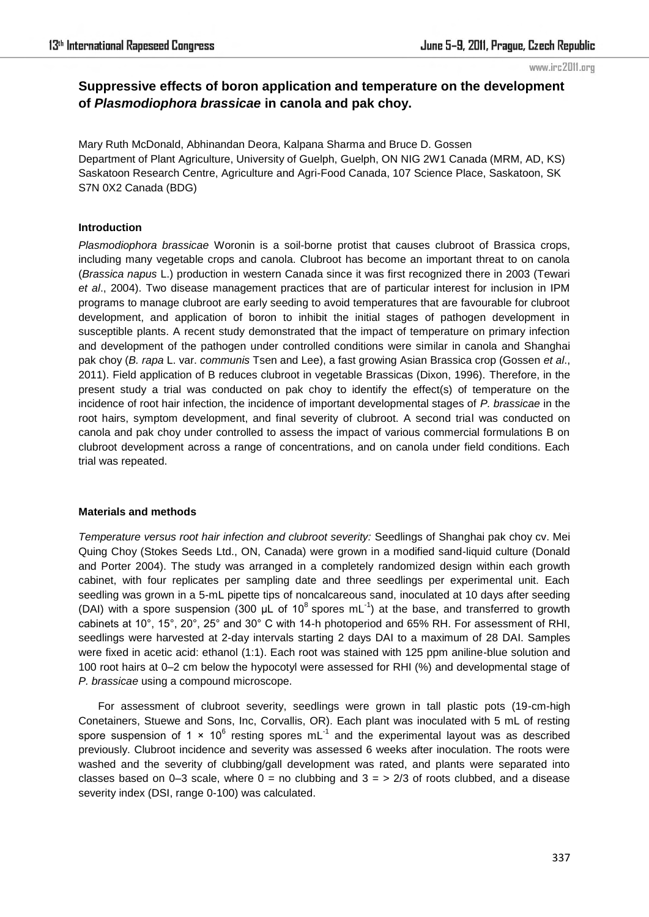# **Suppressive effects of boron application and temperature on the development of** *Plasmodiophora brassicae* **in canola and pak choy.**

Mary Ruth McDonald, Abhinandan Deora, Kalpana Sharma and Bruce D. Gossen Department of Plant Agriculture, University of Guelph, Guelph, ON NIG 2W1 Canada (MRM, AD, KS) Saskatoon Research Centre, Agriculture and Agri-Food Canada, 107 Science Place, Saskatoon, SK S7N 0X2 Canada (BDG)

## **Introduction**

*Plasmodiophora brassicae* Woronin is a soil-borne protist that causes clubroot of Brassica crops, including many vegetable crops and canola. Clubroot has become an important threat to on canola (*Brassica napus* L.) production in western Canada since it was first recognized there in 2003 (Tewari *et al*., 2004). Two disease management practices that are of particular interest for inclusion in IPM programs to manage clubroot are early seeding to avoid temperatures that are favourable for clubroot development, and application of boron to inhibit the initial stages of pathogen development in susceptible plants. A recent study demonstrated that the impact of temperature on primary infection and development of the pathogen under controlled conditions were similar in canola and Shanghai pak choy (*B. rapa* L. var. *communis* Tsen and Lee), a fast growing Asian Brassica crop (Gossen *et al*., 2011). Field application of B reduces clubroot in vegetable Brassicas (Dixon, 1996). Therefore, in the present study a trial was conducted on pak choy to identify the effect(s) of temperature on the incidence of root hair infection, the incidence of important developmental stages of *P. brassicae* in the root hairs, symptom development, and final severity of clubroot. A second trial was conducted on canola and pak choy under controlled to assess the impact of various commercial formulations B on clubroot development across a range of concentrations, and on canola under field conditions. Each trial was repeated.

### **Materials and methods**

*Temperature versus root hair infection and clubroot severity:* Seedlings of Shanghai pak choy cv. Mei Quing Choy (Stokes Seeds Ltd., ON, Canada) were grown in a modified sand-liquid culture (Donald and Porter 2004). The study was arranged in a completely randomized design within each growth cabinet, with four replicates per sampling date and three seedlings per experimental unit. Each seedling was grown in a 5-mL pipette tips of noncalcareous sand, inoculated at 10 days after seeding (DAI) with a spore suspension (300  $\mu$ L of 10<sup>8</sup> spores mL<sup>-1</sup>) at the base, and transferred to growth cabinets at 10°, 15°, 20°, 25° and 30° C with 14-h photoperiod and 65% RH. For assessment of RHI, seedlings were harvested at 2-day intervals starting 2 days DAI to a maximum of 28 DAI. Samples were fixed in acetic acid: ethanol (1:1). Each root was stained with 125 ppm aniline-blue solution and 100 root hairs at 0–2 cm below the hypocotyl were assessed for RHI (%) and developmental stage of *P. brassicae* using a compound microscope.

For assessment of clubroot severity, seedlings were grown in tall plastic pots (19-cm-high Conetainers, Stuewe and Sons, Inc, Corvallis, OR). Each plant was inoculated with 5 mL of resting spore suspension of 1  $\times$  10<sup>6</sup> resting spores mL<sup>-1</sup> and the experimental layout was as described previously. Clubroot incidence and severity was assessed 6 weeks after inoculation. The roots were washed and the severity of clubbing/gall development was rated, and plants were separated into classes based on 0–3 scale, where  $0 =$  no clubbing and  $3 =$  > 2/3 of roots clubbed, and a disease severity index (DSI, range 0-100) was calculated.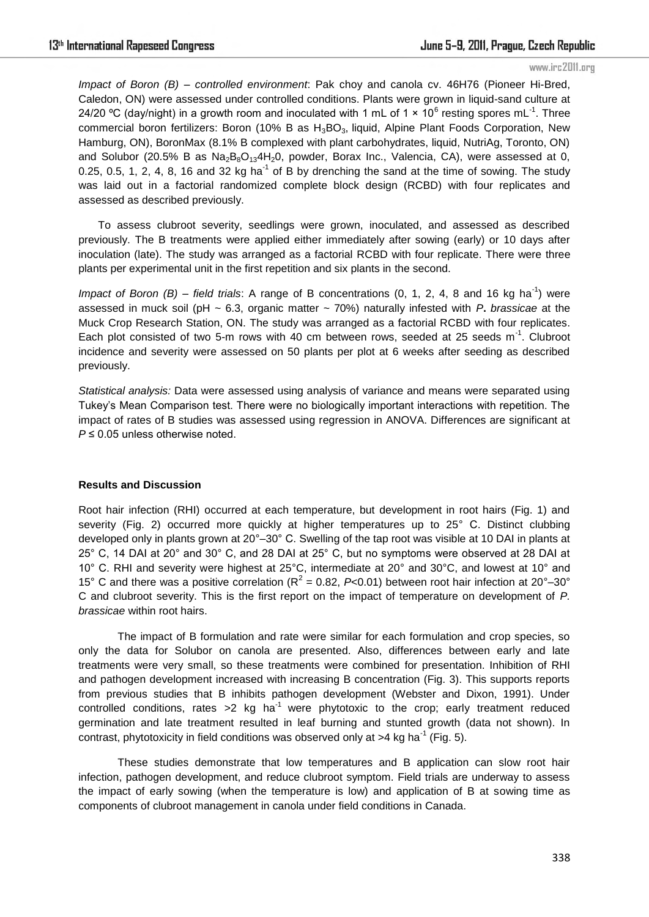*Impact of Boron (B) – controlled environment*: Pak choy and canola cv. 46H76 (Pioneer Hi-Bred, Caledon, ON) were assessed under controlled conditions. Plants were grown in liquid-sand culture at 24/20 °C (day/night) in a growth room and inoculated with 1 mL of 1  $\times$  10<sup>6</sup> resting spores mL<sup>-1</sup>. Three commercial boron fertilizers: Boron (10% B as  $H_3BO_3$ , liquid, Alpine Plant Foods Corporation, New Hamburg, ON), BoronMax (8.1% B complexed with plant carbohydrates, liquid, NutriAg, Toronto, ON) and Solubor (20.5% B as  $Na_2B_8O_{13}4H_2O$ , powder, Borax Inc., Valencia, CA), were assessed at 0, 0.25, 0.5, 1, 2, 4, 8, 16 and 32 kg ha<sup>-1</sup> of B by drenching the sand at the time of sowing. The study was laid out in a factorial randomized complete block design (RCBD) with four replicates and assessed as described previously.

To assess clubroot severity, seedlings were grown, inoculated, and assessed as described previously. The B treatments were applied either immediately after sowing (early) or 10 days after inoculation (late). The study was arranged as a factorial RCBD with four replicate. There were three plants per experimental unit in the first repetition and six plants in the second.

*Impact of Boron (B) – field trials:* A range of B concentrations (0, 1, 2, 4, 8 and 16 kg ha<sup>-1</sup>) were assessed in muck soil (pH ~ 6.3, organic matter ~ 70%) naturally infested with *P***.** *brassicae* at the Muck Crop Research Station, ON. The study was arranged as a factorial RCBD with four replicates. Each plot consisted of two 5-m rows with 40 cm between rows, seeded at 25 seeds  $m^{-1}$ . Clubroot incidence and severity were assessed on 50 plants per plot at 6 weeks after seeding as described previously.

*Statistical analysis:* Data were assessed using analysis of variance and means were separated using Tukey's Mean Comparison test. There were no biologically important interactions with repetition. The impact of rates of B studies was assessed using regression in ANOVA. Differences are significant at *P* ≤ 0.05 unless otherwise noted.

### **Results and Discussion**

Root hair infection (RHI) occurred at each temperature, but development in root hairs (Fig. 1) and severity (Fig. 2) occurred more quickly at higher temperatures up to 25° C. Distinct clubbing developed only in plants grown at 20°–30° C. Swelling of the tap root was visible at 10 DAI in plants at 25° C, 14 DAI at 20° and 30° C, and 28 DAI at 25° C, but no symptoms were observed at 28 DAI at 10° C. RHI and severity were highest at 25°C, intermediate at 20° and 30°C, and lowest at 10° and 15° C and there was a positive correlation ( $R^2$  = 0.82, *P*<0.01) between root hair infection at 20°–30° C and clubroot severity. This is the first report on the impact of temperature on development of *P. brassicae* within root hairs.

The impact of B formulation and rate were similar for each formulation and crop species, so only the data for Solubor on canola are presented. Also, differences between early and late treatments were very small, so these treatments were combined for presentation. Inhibition of RHI and pathogen development increased with increasing B concentration (Fig. 3). This supports reports from previous studies that B inhibits pathogen development (Webster and Dixon, 1991). Under controlled conditions, rates  $>2$  kg ha<sup>-1</sup> were phytotoxic to the crop; early treatment reduced germination and late treatment resulted in leaf burning and stunted growth (data not shown). In contrast, phytotoxicity in field conditions was observed only at  $>4$  kg ha<sup>-1</sup> (Fig. 5).

These studies demonstrate that low temperatures and B application can slow root hair infection, pathogen development, and reduce clubroot symptom. Field trials are underway to assess the impact of early sowing (when the temperature is low) and application of B at sowing time as components of clubroot management in canola under field conditions in Canada.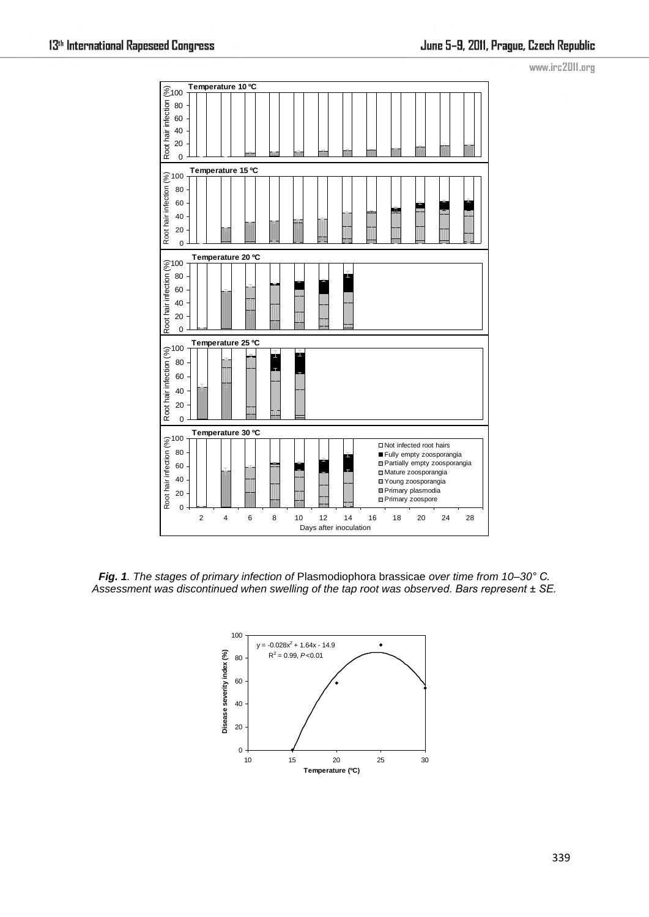

*Fig. 1. The stages of primary infection of* Plasmodiophora brassicae *over time from 10–30° C. Assessment was discontinued when swelling of the tap root was observed. Bars represent ± SE.*

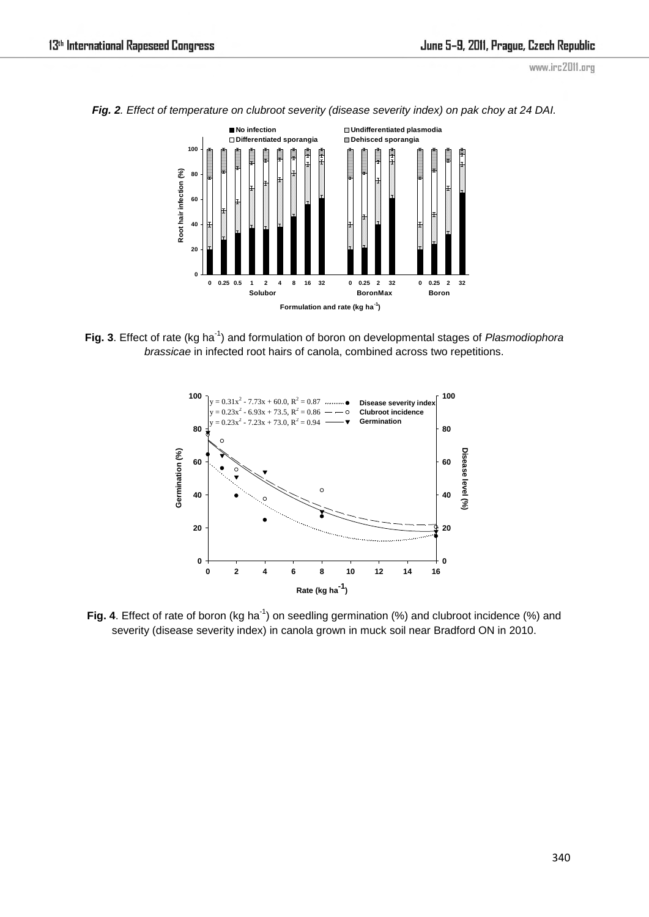

*Fig. 2. Effect of temperature on clubroot severity (disease severity index) on pak choy at 24 DAI.* 

Fig. 3. Effect of rate (kg ha<sup>-1</sup>) and formulation of boron on developmental stages of *Plasmodiophora brassicae* in infected root hairs of canola, combined across two repetitions.



Fig. 4. Effect of rate of boron (kg ha<sup>-1</sup>) on seedling germination (%) and clubroot incidence (%) and severity (disease severity index) in canola grown in muck soil near Bradford ON in 2010.